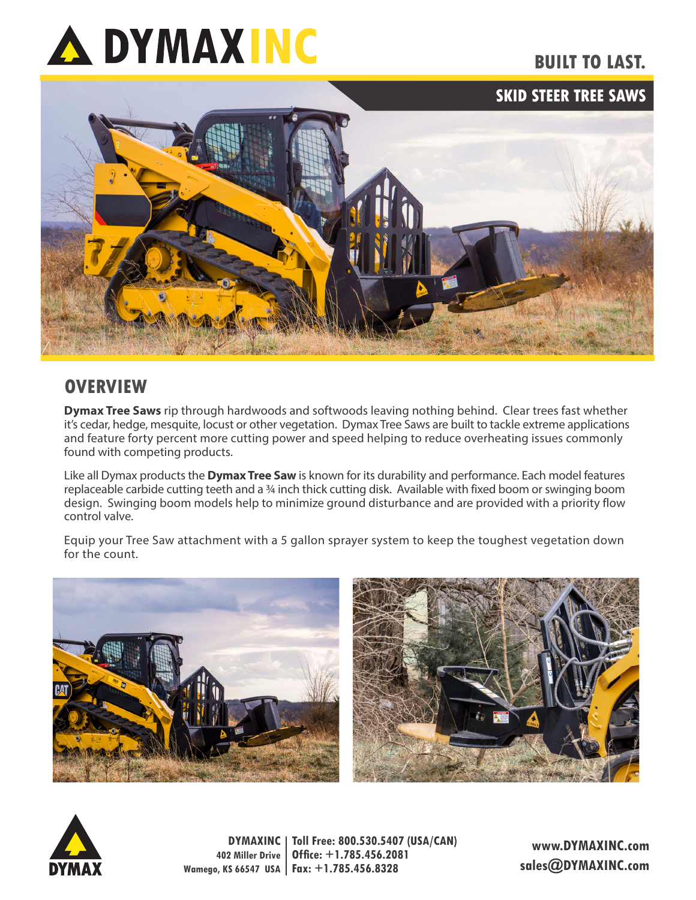

## **BUILT TO LAST.**

**SKID STEER TREE SAWS**



## **OVERVIEW**

**Dymax Tree Saws** rip through hardwoods and softwoods leaving nothing behind. Clear trees fast whether it's cedar, hedge, mesquite, locust or other vegetation. Dymax Tree Saws are built to tackle extreme applications and feature forty percent more cutting power and speed helping to reduce overheating issues commonly found with competing products.

Like all Dymax products the **Dymax Tree Saw** is known for its durability and performance. Each model features replaceable carbide cutting teeth and a ¾ inch thick cutting disk. Available with fixed boom or swinging boom design. Swinging boom models help to minimize ground disturbance and are provided with a priority flow control valve.

Equip your Tree Saw attachment with a 5 gallon sprayer system to keep the toughest vegetation down for the count.





**DYMAXINC Toll Free: 800.530.5407 (USA/CAN) 402 Miller Drive Wamego, KS 66547 USA Fax: +1.785.456.8328 Office: +1.785.456.2081**

**www.DYMAXINC.com sales@DYMAXINC.com**